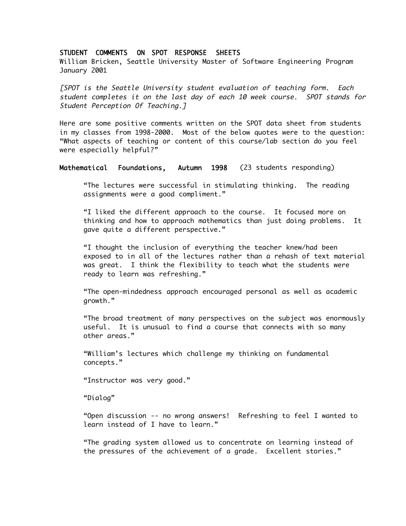### STUDENT COMMENTS ON SPOT RESPONSE SHEETS

William Bricken, Seattle University Master of Software Engineering Program January 2001

[SPOT is the Seattle University student evaluation of teaching form. Each student completes it on the last day of each 10 week course. SPOT stands for Student Perception Of Teaching.]

Here are some positive comments written on the SPOT data sheet from students in my classes from 1998-2000. Most of the below quotes were to the question: "What aspects of teaching or content of this course/lab section do you feel were especially helpful?"

#### Mathematical Foundations, Autumn 1998 (23 students responding)

"The lectures were successful in stimulating thinking. The reading assignments were a good compliment."

"I liked the different approach to the course. It focused more on thinking and how to approach mathematics than just doing problems. It gave quite a different perspective."

"I thought the inclusion of everything the teacher knew/had been exposed to in all of the lectures rather than a rehash of text material was great. I think the flexibility to teach what the students were ready to learn was refreshing."

"The open-mindedness approach encouraged personal as well as academic growth."

"The broad treatment of many perspectives on the subject was enormously useful. It is unusual to find a course that connects with so many other areas."

"William's lectures which challenge my thinking on fundamental concepts."

"Instructor was very good."

"Dialog"

"Open discussion -- no wrong answers! Refreshing to feel I wanted to learn instead of I have to learn."

"The grading system allowed us to concentrate on learning instead of the pressures of the achievement of a grade. Excellent stories."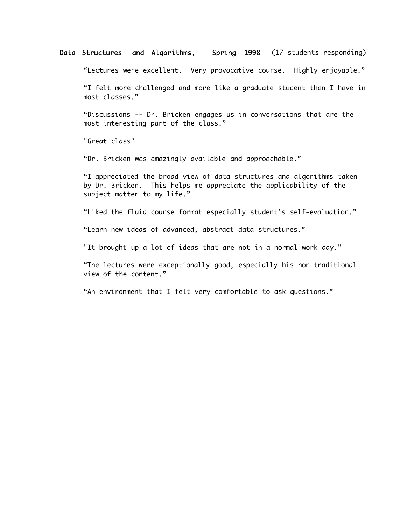## Data Structures and Algorithms, Spring 1998 (17 students responding)

"Lectures were excellent. Very provocative course. Highly enjoyable."

"I felt more challenged and more like a graduate student than I have in most classes."

"Discussions -- Dr. Bricken engages us in conversations that are the most interesting part of the class."

"Great class"

"Dr. Bricken was amazingly available and approachable."

"I appreciated the broad view of data structures and algorithms taken by Dr. Bricken. This helps me appreciate the applicability of the subject matter to my life."

"Liked the fluid course format especially student's self-evaluation."

"Learn new ideas of advanced, abstract data structures."

"It brought up a lot of ideas that are not in a normal work day."

"The lectures were exceptionally good, especially his non-traditional view of the content."

"An environment that I felt very comfortable to ask questions."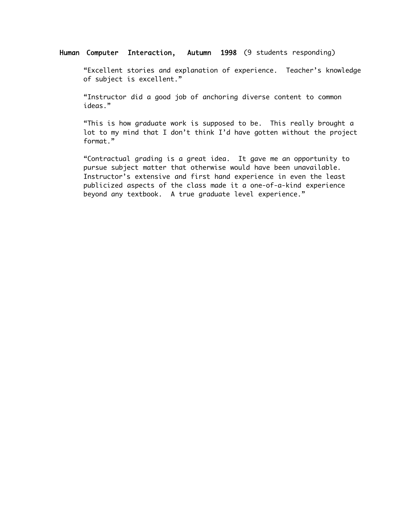# Human Computer Interaction, Autumn 1998 (9 students responding)

"Excellent stories and explanation of experience. Teacher's knowledge of subject is excellent."

"Instructor did a good job of anchoring diverse content to common ideas."

"This is how graduate work is supposed to be. This really brought a lot to my mind that I don't think I'd have gotten without the project format."

"Contractual grading is a great idea. It gave me an opportunity to pursue subject matter that otherwise would have been unavailable. Instructor's extensive and first hand experience in even the least publicized aspects of the class made it a one-of-a-kind experience beyond any textbook. A true graduate level experience."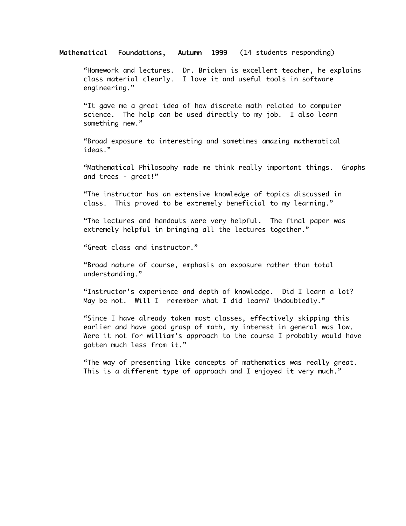## Mathematical Foundations, Autumn 1999 (14 students responding)

"Homework and lectures. Dr. Bricken is excellent teacher, he explains class material clearly. I love it and useful tools in software engineering."

"It gave me a great idea of how discrete math related to computer science. The help can be used directly to my job. I also learn something new."

"Broad exposure to interesting and sometimes amazing mathematical ideas."

"Mathematical Philosophy made me think really important things. Graphs and trees - great!"

"The instructor has an extensive knowledge of topics discussed in class. This proved to be extremely beneficial to my learning."

"The lectures and handouts were very helpful. The final paper was extremely helpful in bringing all the lectures together."

"Great class and instructor."

"Broad nature of course, emphasis on exposure rather than total understanding."

"Instructor's experience and depth of knowledge. Did I learn a lot? May be not. Will I remember what I did learn? Undoubtedly."

"Since I have already taken most classes, effectively skipping this earlier and have good grasp of math, my interest in general was low. Were it not for william's approach to the course I probably would have gotten much less from it."

"The way of presenting like concepts of mathematics was really great. This is a different type of approach and I enjoyed it very much."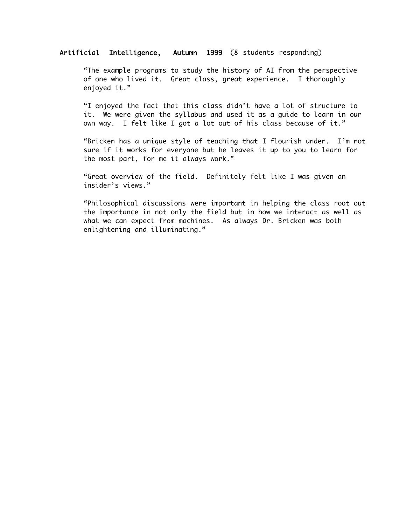## Artificial Intelligence, Autumn 1999 (8 students responding)

"The example programs to study the history of AI from the perspective of one who lived it. Great class, great experience. I thoroughly enjoyed it."

"I enjoyed the fact that this class didn't have a lot of structure to it. We were given the syllabus and used it as a guide to learn in our own way. I felt like I got a lot out of his class because of it."

"Bricken has a unique style of teaching that I flourish under. I'm not sure if it works for everyone but he leaves it up to you to learn for the most part, for me it always work."

"Great overview of the field. Definitely felt like I was given an insider's views."

"Philosophical discussions were important in helping the class root out the importance in not only the field but in how we interact as well as what we can expect from machines. As always Dr. Bricken was both enlightening and illuminating."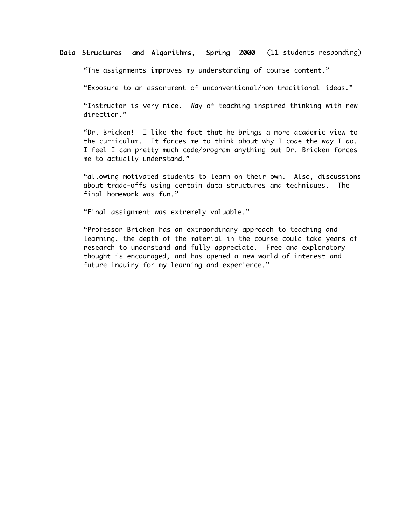## Data Structures and Algorithms, Spring 2000 (11 students responding)

"The assignments improves my understanding of course content."

"Exposure to an assortment of unconventional/non-traditional ideas."

"Instructor is very nice. Way of teaching inspired thinking with new direction."

"Dr. Bricken! I like the fact that he brings a more academic view to the curriculum. It forces me to think about why I code the way I do. I feel I can pretty much code/program anything but Dr. Bricken forces me to actually understand."

"allowing motivated students to learn on their own. Also, discussions about trade-offs using certain data structures and techniques. The final homework was fun."

"Final assignment was extremely valuable."

"Professor Bricken has an extraordinary approach to teaching and learning, the depth of the material in the course could take years of research to understand and fully appreciate. Free and exploratory thought is encouraged, and has opened a new world of interest and future inquiry for my learning and experience."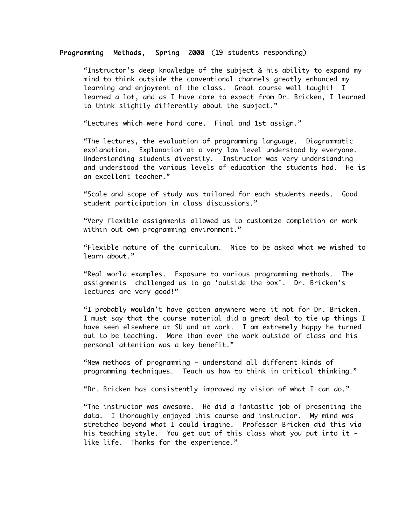#### Programming Methods, Spring 2000 (19 students responding)

"Instructor's deep knowledge of the subject & his ability to expand my mind to think outside the conventional channels greatly enhanced my learning and enjoyment of the class. Great course well taught! I learned a lot, and as I have come to expect from Dr. Bricken, I learned to think slightly differently about the subject."

"Lectures which were hard core. Final and 1st assign."

"The lectures, the evaluation of programming language. Diagrammatic explanation. Explanation at a very low level understood by everyone. Understanding students diversity. Instructor was very understanding and understood the various levels of education the students had. He is an excellent teacher."

"Scale and scope of study was tailored for each students needs. Good student participation in class discussions."

"Very flexible assignments allowed us to customize completion or work within out own programming environment."

"Flexible nature of the curriculum. Nice to be asked what we wished to learn about."

"Real world examples. Exposure to various programming methods. The assignments challenged us to go 'outside the box'. Dr. Bricken's lectures are very good!"

"I probably wouldn't have gotten anywhere were it not for Dr. Bricken. I must say that the course material did a great deal to tie up things I have seen elsewhere at SU and at work. I am extremely happy he turned out to be teaching. More than ever the work outside of class and his personal attention was a key benefit."

"New methods of programming - understand all different kinds of programming techniques. Teach us how to think in critical thinking."

"Dr. Bricken has consistently improved my vision of what I can do."

"The instructor was awesome. He did a fantastic job of presenting the data. I thoroughly enjoyed this course and instructor. My mind was stretched beyond what I could imagine. Professor Bricken did this via his teaching style. You get out of this class what you put into it like life. Thanks for the experience."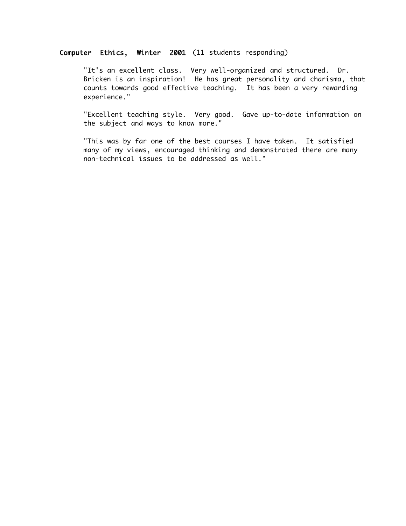## Computer Ethics, Winter 2001 (11 students responding)

"It's an excellent class. Very well-organized and structured. Dr. Bricken is an inspiration! He has great personality and charisma, that counts towards good effective teaching. It has been a very rewarding experience."

"Excellent teaching style. Very good. Gave up-to-date information on the subject and ways to know more."

"This was by far one of the best courses I have taken. It satisfied many of my views, encouraged thinking and demonstrated there are many non-technical issues to be addressed as well."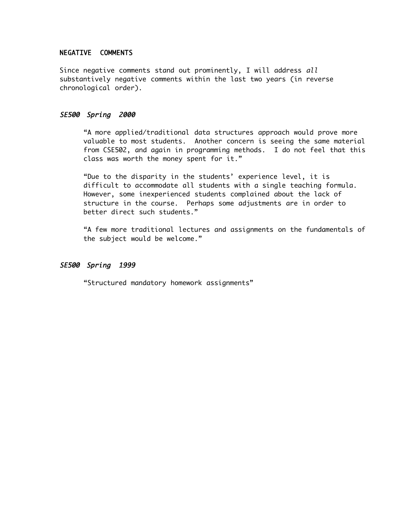## NEGATIVE COMMENTS

Since negative comments stand out prominently, I will address all substantively negative comments within the last two years (in reverse chronological order).

## SE500 Spring 2000

"A more applied/traditional data structures approach would prove more valuable to most students. Another concern is seeing the same material from CSE502, and again in programming methods. I do not feel that this class was worth the money spent for it."

"Due to the disparity in the students' experience level, it is difficult to accommodate all students with a single teaching formula. However, some inexperienced students complained about the lack of structure in the course. Perhaps some adjustments are in order to better direct such students."

"A few more traditional lectures and assignments on the fundamentals of the subject would be welcome."

## SE500 Spring 1999

"Structured mandatory homework assignments"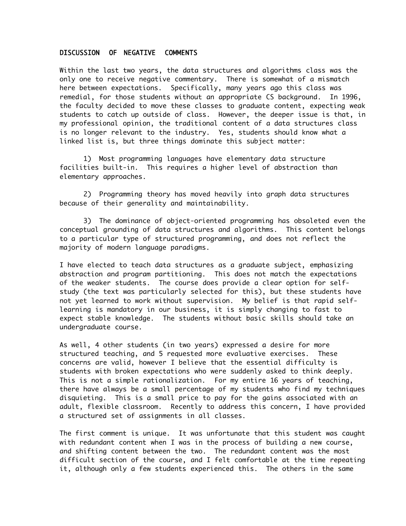## DISCUSSION OF NEGATIVE COMMENTS

Within the last two years, the data structures and algorithms class was the only one to receive negative commentary. There is somewhat of a mismatch here between expectations. Specifically, many years ago this class was remedial, for those students without an appropriate CS background. In 1996, the faculty decided to move these classes to graduate content, expecting weak students to catch up outside of class. However, the deeper issue is that, in my professional opinion, the traditional content of a data structures class is no longer relevant to the industry. Yes, students should know what a linked list is, but three things dominate this subject matter:

1) Most programming languages have elementary data structure facilities built-in. This requires a higher level of abstraction than elementary approaches.

2) Programming theory has moved heavily into graph data structures because of their generality and maintainability.

3) The dominance of object-oriented programming has obsoleted even the conceptual grounding of data structures and algorithms. This content belongs to a particular type of structured programming, and does not reflect the majority of modern language paradigms.

I have elected to teach data structures as a graduate subject, emphasizing abstraction and program partitioning. This does not match the expectations of the weaker students. The course does provide a clear option for selfstudy (the text was particularly selected for this), but these students have not yet learned to work without supervision. My belief is that rapid selflearning is mandatory in our business, it is simply changing to fast to expect stable knowledge. The students without basic skills should take an undergraduate course.

As well, 4 other students (in two years) expressed a desire for more structured teaching, and 5 requested more evaluative exercises. These concerns are valid, however I believe that the essential difficulty is students with broken expectations who were suddenly asked to think deeply. This is not a simple rationalization. For my entire 16 years of teaching, there have always be a small percentage of my students who find my techniques disquieting. This is a small price to pay for the gains associated with an adult, flexible classroom. Recently to address this concern, I have provided a structured set of assignments in all classes.

The first comment is unique. It was unfortunate that this student was caught with redundant content when I was in the process of building a new course, and shifting content between the two. The redundant content was the most difficult section of the course, and I felt comfortable at the time repeating it, although only a few students experienced this. The others in the same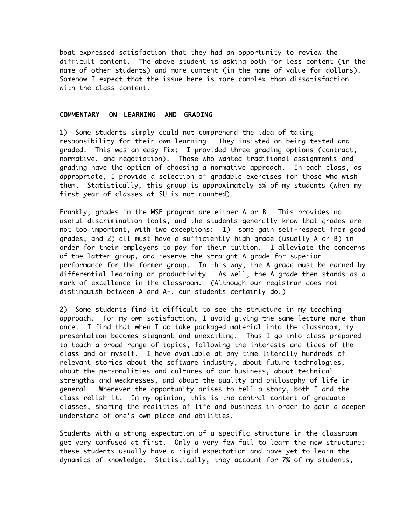boat expressed satisfaction that they had an opportunity to review the difficult content. The above student is asking both for less content (in the name of other students) and more content (in the name of value for dollars). Somehow I expect that the issue here is more complex than dissatisfaction with the class content.

## COMMENTARY ON LEARNING AND GRADING

1) Some students simply could not comprehend the idea of taking responsibility for their own learning. They insisted on being tested and graded. This was an easy fix: I provided three grading options (contract, normative, and negotiation). Those who wanted traditional assignments and grading have the option of choosing a normative approach. In each class, as appropriate, I provide a selection of gradable exercises for those who wish them. Statistically, this group is approximately 5% of my students (when my first year of classes at SU is not counted).

Frankly, grades in the MSE program are either A or B. This provides no useful discrimination tools, and the students generally know that grades are not too important, with two exceptions: 1) some gain self-respect from good grades, and 2) all must have a sufficiently high grade (usually A or B) in order for their employers to pay for their tuition. I alleviate the concerns of the latter group, and reserve the straight A grade for superior performance for the former group. In this way, the A grade must be earned by differential learning or productivity. As well, the A grade then stands as a mark of excellence in the classroom. (Although our registrar does not distinguish between A and A-, our students certainly do.)

2) Some students find it difficult to see the structure in my teaching approach. For my own satisfaction, I avoid giving the same lecture more than once. I find that when I do take packaged material into the classroom, my presentation becomes stagnant and unexciting. Thus I go into class prepared to teach a broad range of topics, following the interests and tides of the class and of myself. I have available at any time literally hundreds of relevant stories about the software industry, about future technologies, about the personalities and cultures of our business, about technical strengths and weaknesses, and about the quality and philosophy of life in general. Whenever the opportunity arises to tell a story, both I and the class relish it. In my opinion, this is the central content of graduate classes, sharing the realities of life and business in order to gain a deeper understand of one's own place and abilities.

Students with a strong expectation of a specific structure in the classroom get very confused at first. Only a very few fail to learn the new structure; these students usually have a rigid expectation and have yet to learn the dynamics of knowledge. Statistically, they account for 7% of my students,